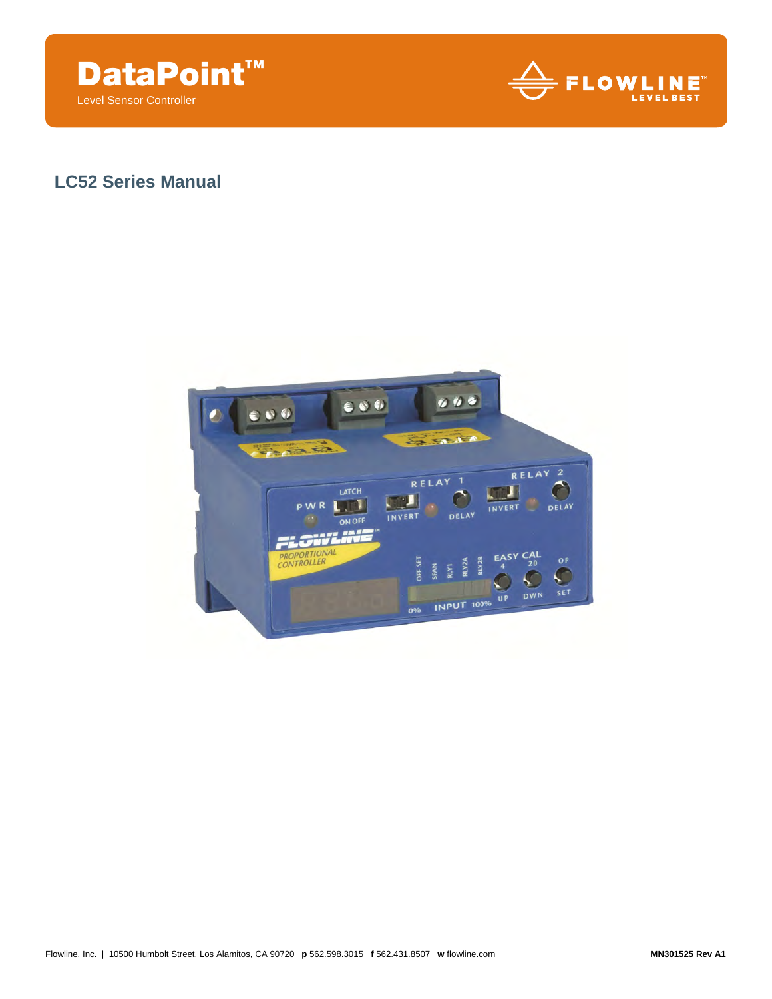



# **LC52 Series Manual**

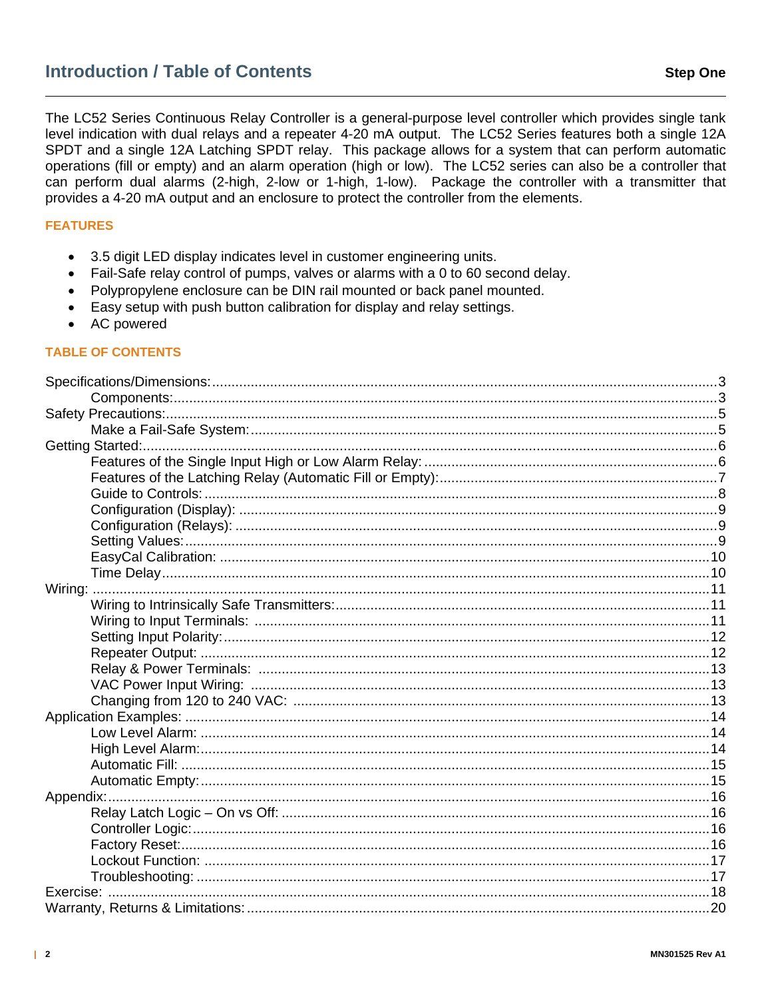The LC52 Series Continuous Relay Controller is a general-purpose level controller which provides single tank level indication with dual relays and a repeater 4-20 mA output. The LC52 Series features both a single 12A SPDT and a single 12A Latching SPDT relay. This package allows for a system that can perform automatic operations (fill or empty) and an alarm operation (high or low). The LC52 series can also be a controller that can perform dual alarms (2-high, 2-low or 1-high, 1-low). Package the controller with a transmitter that provides a 4-20 mA output and an enclosure to protect the controller from the elements.

# **FEATURES**

- 3.5 digit LED display indicates level in customer engineering units.
- Fail-Safe relay control of pumps, valves or alarms with a 0 to 60 second delay.  $\bullet$
- Polypropylene enclosure can be DIN rail mounted or back panel mounted.  $\bullet$
- Easy setup with push button calibration for display and relay settings.  $\bullet$
- AC powered  $\bullet$

#### **TABLE OF CONTENTS**

| 17 ليستنسب المستنسب المستنسب المستنسب المستنسب المستنسب المستنسب المستنسب المستنسب المستنسب المستنسب المستنسب المستنس |  |
|-----------------------------------------------------------------------------------------------------------------------|--|
|                                                                                                                       |  |
|                                                                                                                       |  |
|                                                                                                                       |  |
|                                                                                                                       |  |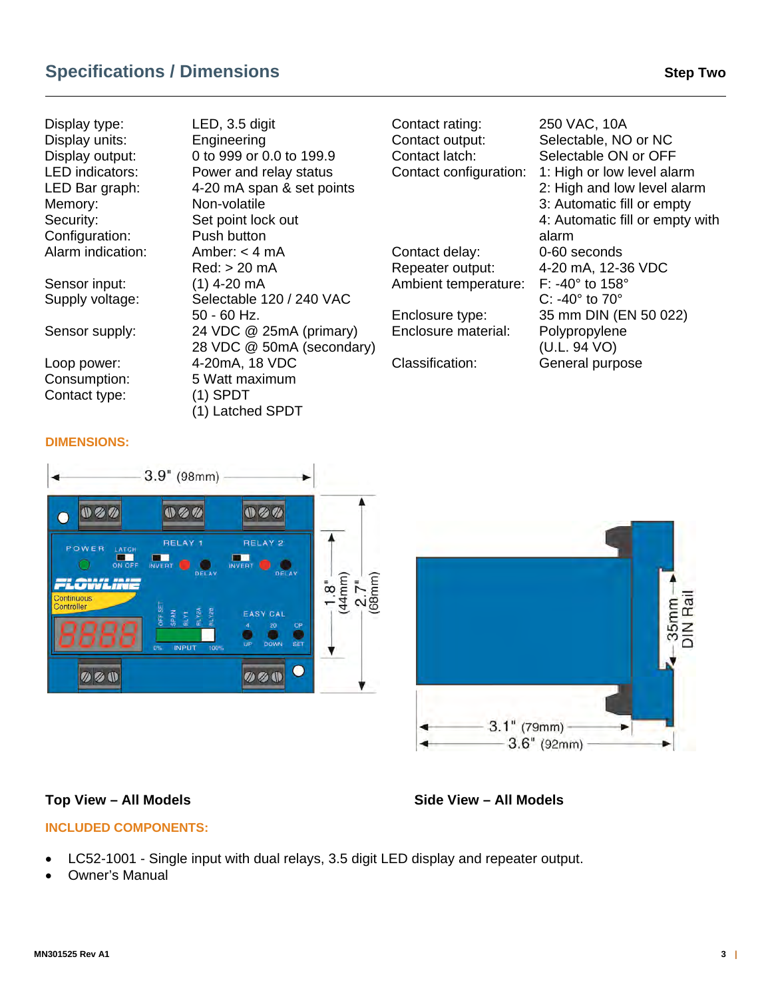# **Specifications / Dimensions Step Two 31 According Step Two 35 According Two 35 According Step Two**

Display type: LED, 3.5 digit Display units: Engineering Memory: Non-volatile Security: Set point lock out Configuration: Push button Alarm indication: Amber: < 4 mA Sensor input: (1) 4-20 mA

Contact type: (1) SPDT

Display output: 0 to 999 or 0.0 to 199.9 LED indicators: Power and relay status LED Bar graph: 4-20 mA span & set points Red: > 20 mA Supply voltage: Selectable 120 / 240 VAC 50 - 60 Hz. Sensor supply: 24 VDC @ 25mA (primary) 28 VDC @ 50mA (secondary) Loop power: 4-20mA, 18 VDC Consumption: 5 Watt maximum (1) Latched SPDT

Contact rating: 250 VAC, 10A Contact output: Selectable, NO or NC Contact latch: Selectable ON or OFF Contact configuration: 1: High or low level alarm Contact delay: 0-60 seconds Repeater output: 4-20 mA, 12-36 VDC Ambient temperature: F: -40° to 158° Enclosure type: 35 mm DIN (EN 50 022) Enclosure material: Polypropylene

 2: High and low level alarm 3: Automatic fill or empty 4: Automatic fill or empty with alarm C: -40° to 70° (U.L. 94 VO) Classification: General purpose

## **DIMENSIONS:**





# Top View – All Models **Side View – All Models**

# **INCLUDED COMPONENTS:**

- LC52-1001 Single input with dual relays, 3.5 digit LED display and repeater output.
- Owner's Manual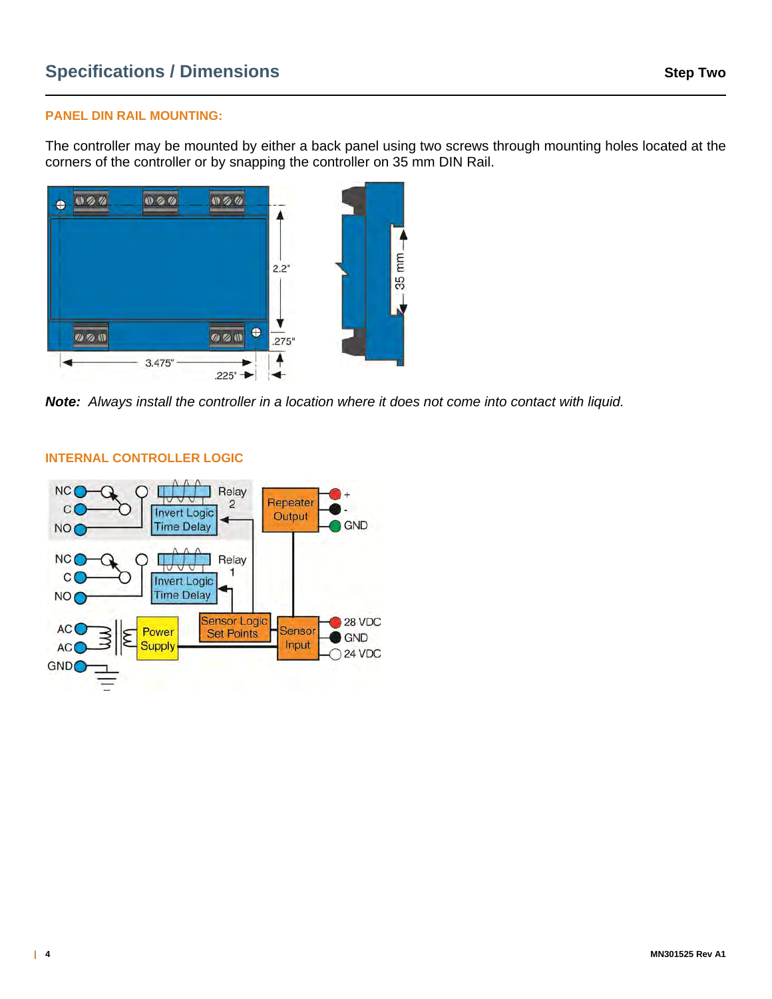#### **PANEL DIN RAIL MOUNTING:**

The controller may be mounted by either a back panel using two screws through mounting holes located at the corners of the controller or by snapping the controller on 35 mm DIN Rail.



*Note:**Always install the controller in a location where it does not come into contact with liquid.*



#### **INTERNAL CONTROLLER LOGIC**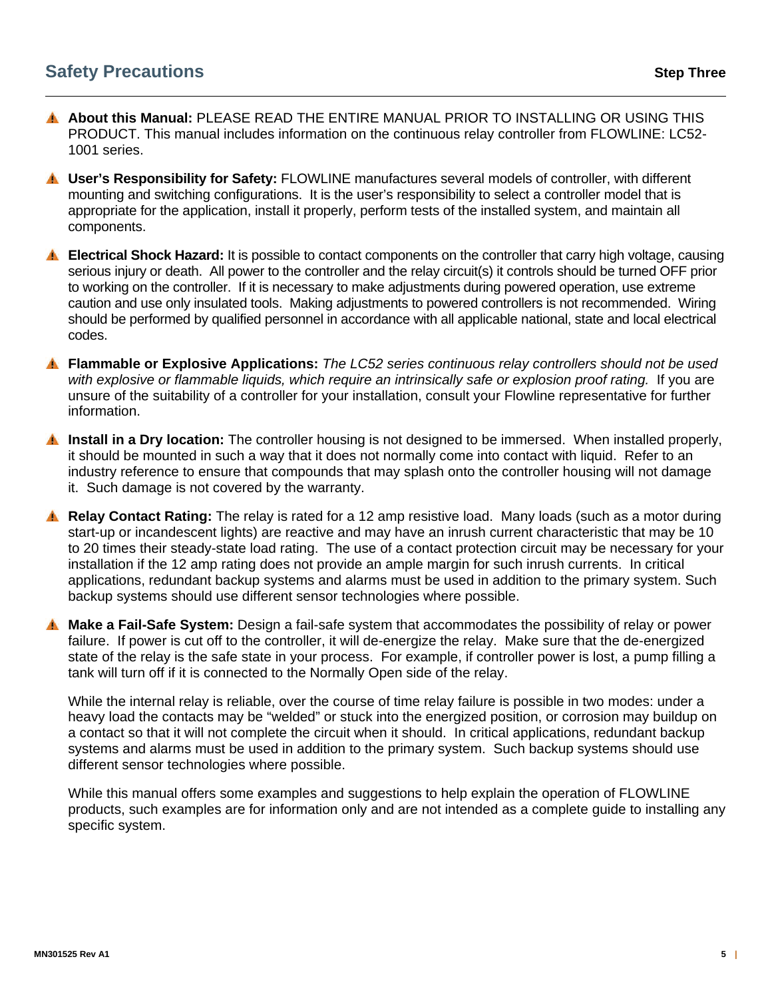- **About this Manual:** PLEASE READ THE ENTIRE MANUAL PRIOR TO INSTALLING OR USING THIS PRODUCT. This manual includes information on the continuous relay controller from FLOWLINE: LC52- 1001 series.
- **User's Responsibility for Safety:** FLOWLINE manufactures several models of controller, with different mounting and switching configurations. It is the user's responsibility to select a controller model that is appropriate for the application, install it properly, perform tests of the installed system, and maintain all components.
- **Electrical Shock Hazard:** It is possible to contact components on the controller that carry high voltage, causing serious injury or death. All power to the controller and the relay circuit(s) it controls should be turned OFF prior to working on the controller. If it is necessary to make adjustments during powered operation, use extreme caution and use only insulated tools. Making adjustments to powered controllers is not recommended. Wiring should be performed by qualified personnel in accordance with all applicable national, state and local electrical codes.
- **Flammable or Explosive Applications:** *The LC52 series continuous relay controllers should not be used with explosive or flammable liquids, which require an intrinsically safe or explosion proof rating.* If you are unsure of the suitability of a controller for your installation, consult your Flowline representative for further information.
- **Install in a Dry location:** The controller housing is not designed to be immersed. When installed properly, it should be mounted in such a way that it does not normally come into contact with liquid. Refer to an industry reference to ensure that compounds that may splash onto the controller housing will not damage it. Such damage is not covered by the warranty.
- **A. Relay Contact Rating:** The relay is rated for a 12 amp resistive load. Many loads (such as a motor during start-up or incandescent lights) are reactive and may have an inrush current characteristic that may be 10 to 20 times their steady-state load rating. The use of a contact protection circuit may be necessary for your installation if the 12 amp rating does not provide an ample margin for such inrush currents. In critical applications, redundant backup systems and alarms must be used in addition to the primary system. Such backup systems should use different sensor technologies where possible.
- **Make a Fail-Safe System:** Design a fail-safe system that accommodates the possibility of relay or power failure. If power is cut off to the controller, it will de-energize the relay. Make sure that the de-energized state of the relay is the safe state in your process. For example, if controller power is lost, a pump filling a tank will turn off if it is connected to the Normally Open side of the relay.

While the internal relay is reliable, over the course of time relay failure is possible in two modes: under a heavy load the contacts may be "welded" or stuck into the energized position, or corrosion may buildup on a contact so that it will not complete the circuit when it should. In critical applications, redundant backup systems and alarms must be used in addition to the primary system. Such backup systems should use different sensor technologies where possible.

While this manual offers some examples and suggestions to help explain the operation of FLOWLINE products, such examples are for information only and are not intended as a complete guide to installing any specific system.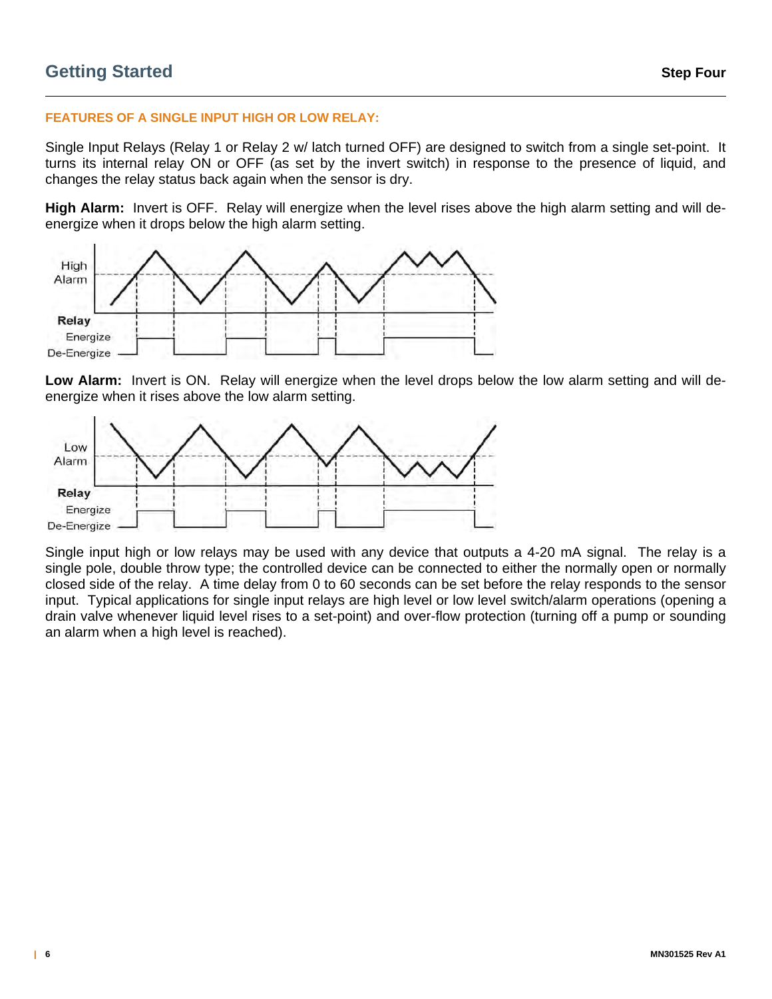#### **FEATURES OF A SINGLE INPUT HIGH OR LOW RELAY:**

Single Input Relays (Relay 1 or Relay 2 w/ latch turned OFF) are designed to switch from a single set-point. It turns its internal relay ON or OFF (as set by the invert switch) in response to the presence of liquid, and changes the relay status back again when the sensor is dry.

**High Alarm:** Invert is OFF. Relay will energize when the level rises above the high alarm setting and will deenergize when it drops below the high alarm setting.



**Low Alarm:** Invert is ON. Relay will energize when the level drops below the low alarm setting and will deenergize when it rises above the low alarm setting.



Single input high or low relays may be used with any device that outputs a 4-20 mA signal. The relay is a single pole, double throw type; the controlled device can be connected to either the normally open or normally closed side of the relay. A time delay from 0 to 60 seconds can be set before the relay responds to the sensor input. Typical applications for single input relays are high level or low level switch/alarm operations (opening a drain valve whenever liquid level rises to a set-point) and over-flow protection (turning off a pump or sounding an alarm when a high level is reached).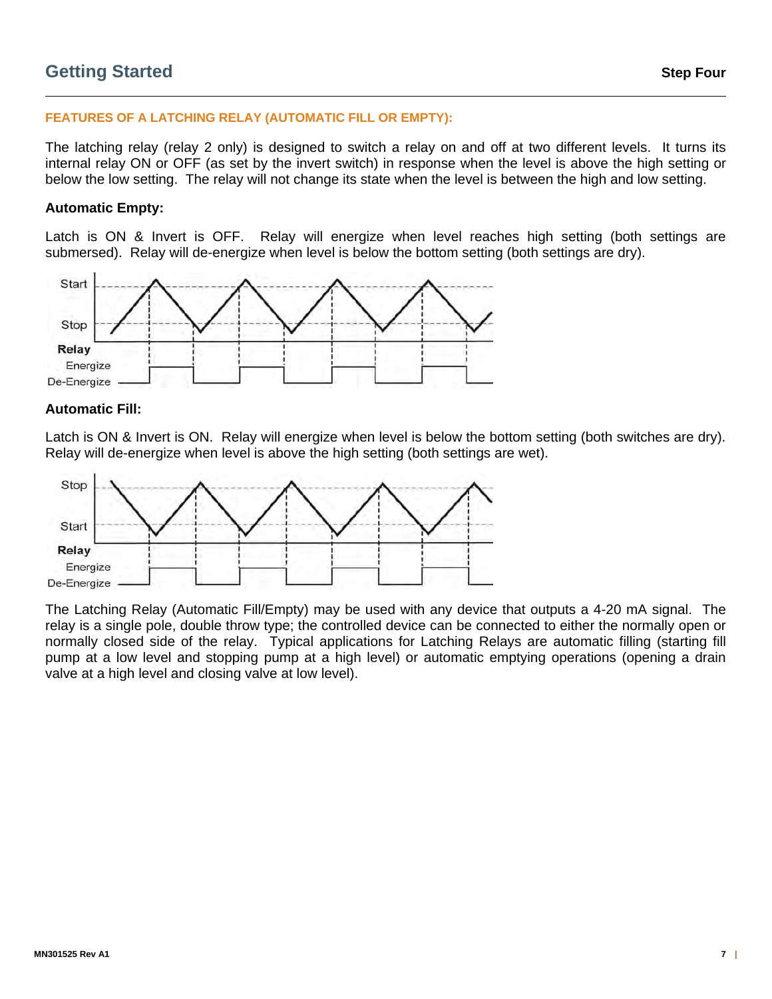# **Getting Started Step Four**

#### **FEATURES OF A LATCHING RELAY (AUTOMATIC FILL OR EMPTY):**

The latching relay (relay 2 only) is designed to switch a relay on and off at two different levels. It turns its internal relay ON or OFF (as set by the invert switch) in response when the level is above the high setting or below the low setting. The relay will not change its state when the level is between the high and low setting.

#### **Automatic Empty:**

Latch is ON & Invert is OFF. Relay will energize when level reaches high setting (both settings are submersed). Relay will de-energize when level is below the bottom setting (both settings are dry).



#### **Automatic Fill:**

Latch is ON & Invert is ON. Relay will energize when level is below the bottom setting (both switches are dry). Relay will de-energize when level is above the high setting (both settings are wet).



The Latching Relay (Automatic Fill/Empty) may be used with any device that outputs a 4-20 mA signal. The relay is a single pole, double throw type; the controlled device can be connected to either the normally open or normally closed side of the relay. Typical applications for Latching Relays are automatic filling (starting fill pump at a low level and stopping pump at a high level) or automatic emptying operations (opening a drain valve at a high level and closing valve at low level).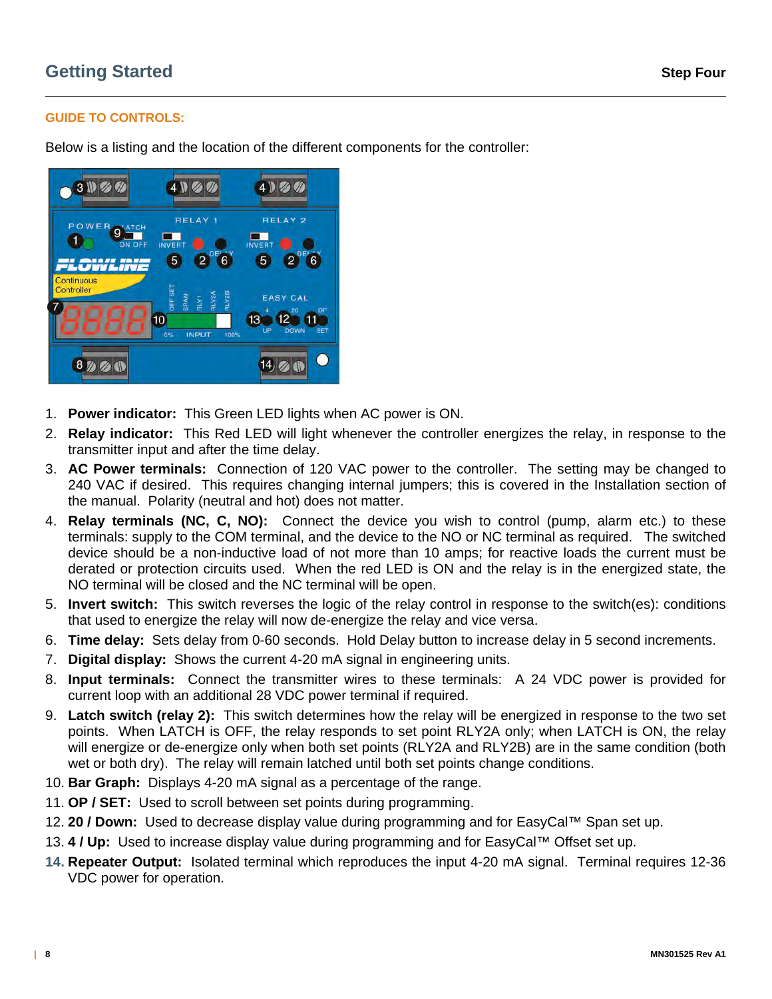# **GUIDE TO CONTROLS:**

Below is a listing and the location of the different components for the controller:



- 1. **Power indicator:** This Green LED lights when AC power is ON.
- 2. **Relay indicator:** This Red LED will light whenever the controller energizes the relay, in response to the transmitter input and after the time delay.
- 3. **AC Power terminals:** Connection of 120 VAC power to the controller. The setting may be changed to 240 VAC if desired. This requires changing internal jumpers; this is covered in the Installation section of the manual. Polarity (neutral and hot) does not matter.
- 4. **Relay terminals (NC, C, NO):** Connect the device you wish to control (pump, alarm etc.) to these terminals: supply to the COM terminal, and the device to the NO or NC terminal as required. The switched device should be a non-inductive load of not more than 10 amps; for reactive loads the current must be derated or protection circuits used. When the red LED is ON and the relay is in the energized state, the NO terminal will be closed and the NC terminal will be open.
- 5. **Invert switch:** This switch reverses the logic of the relay control in response to the switch(es): conditions that used to energize the relay will now de-energize the relay and vice versa.
- 6. **Time delay:** Sets delay from 0-60 seconds. Hold Delay button to increase delay in 5 second increments.
- 7. **Digital display:** Shows the current 4-20 mA signal in engineering units.
- 8. **Input terminals:** Connect the transmitter wires to these terminals: A 24 VDC power is provided for current loop with an additional 28 VDC power terminal if required.
- 9. **Latch switch (relay 2):** This switch determines how the relay will be energized in response to the two set points. When LATCH is OFF, the relay responds to set point RLY2A only; when LATCH is ON, the relay will energize or de-energize only when both set points (RLY2A and RLY2B) are in the same condition (both wet or both dry). The relay will remain latched until both set points change conditions.
- 10. **Bar Graph:** Displays 4-20 mA signal as a percentage of the range.
- 11. **OP / SET:** Used to scroll between set points during programming.
- 12. **20 / Down:** Used to decrease display value during programming and for EasyCal™ Span set up.
- 13. **4 / Up:** Used to increase display value during programming and for EasyCal™ Offset set up.
- **14. Repeater Output:** Isolated terminal which reproduces the input 4-20 mA signal. Terminal requires 12-36 VDC power for operation.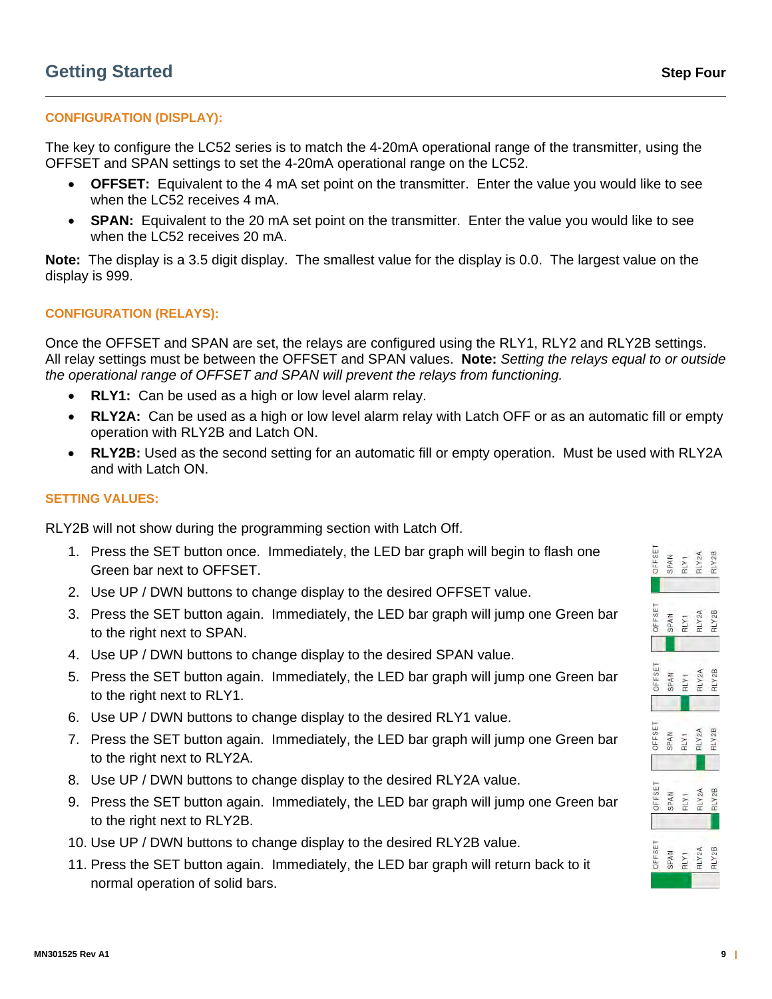# **CONFIGURATION (DISPLAY):**

The key to configure the LC52 series is to match the 4-20mA operational range of the transmitter, using the OFFSET and SPAN settings to set the 4-20mA operational range on the LC52.

- **OFFSET:** Equivalent to the 4 mA set point on the transmitter. Enter the value you would like to see when the LC52 receives 4 mA.
- **SPAN:** Equivalent to the 20 mA set point on the transmitter. Enter the value you would like to see when the LC52 receives 20 mA.

**Note:** The display is a 3.5 digit display. The smallest value for the display is 0.0. The largest value on the display is 999.

#### **CONFIGURATION (RELAYS):**

Once the OFFSET and SPAN are set, the relays are configured using the RLY1, RLY2 and RLY2B settings. All relay settings must be between the OFFSET and SPAN values. **Note:** *Setting the relays equal to or outside the operational range of OFFSET and SPAN will prevent the relays from functioning.*

- **RLY1:** Can be used as a high or low level alarm relay.
- **RLY2A:** Can be used as a high or low level alarm relay with Latch OFF or as an automatic fill or empty operation with RLY2B and Latch ON.
- **RLY2B:** Used as the second setting for an automatic fill or empty operation. Must be used with RLY2A and with Latch ON.

### **SETTING VALUES:**

RLY2B will not show during the programming section with Latch Off.

- 1. Press the SET button once. Immediately, the LED bar graph will begin to flash one Green bar next to OFFSET.
- 2. Use UP / DWN buttons to change display to the desired OFFSET value.
- 3. Press the SET button again. Immediately, the LED bar graph will jump one Green bar to the right next to SPAN.
- 4. Use UP / DWN buttons to change display to the desired SPAN value.
- 5. Press the SET button again. Immediately, the LED bar graph will jump one Green bar to the right next to RLY1.
- 6. Use UP / DWN buttons to change display to the desired RLY1 value.
- 7. Press the SET button again. Immediately, the LED bar graph will jump one Green bar to the right next to RLY2A.
- 8. Use UP / DWN buttons to change display to the desired RLY2A value.
- 9. Press the SET button again. Immediately, the LED bar graph will jump one Green bar to the right next to RLY2B.
- 10. Use UP / DWN buttons to change display to the desired RLY2B value.
- 11. Press the SET button again. Immediately, the LED bar graph will return back to it normal operation of solid bars.

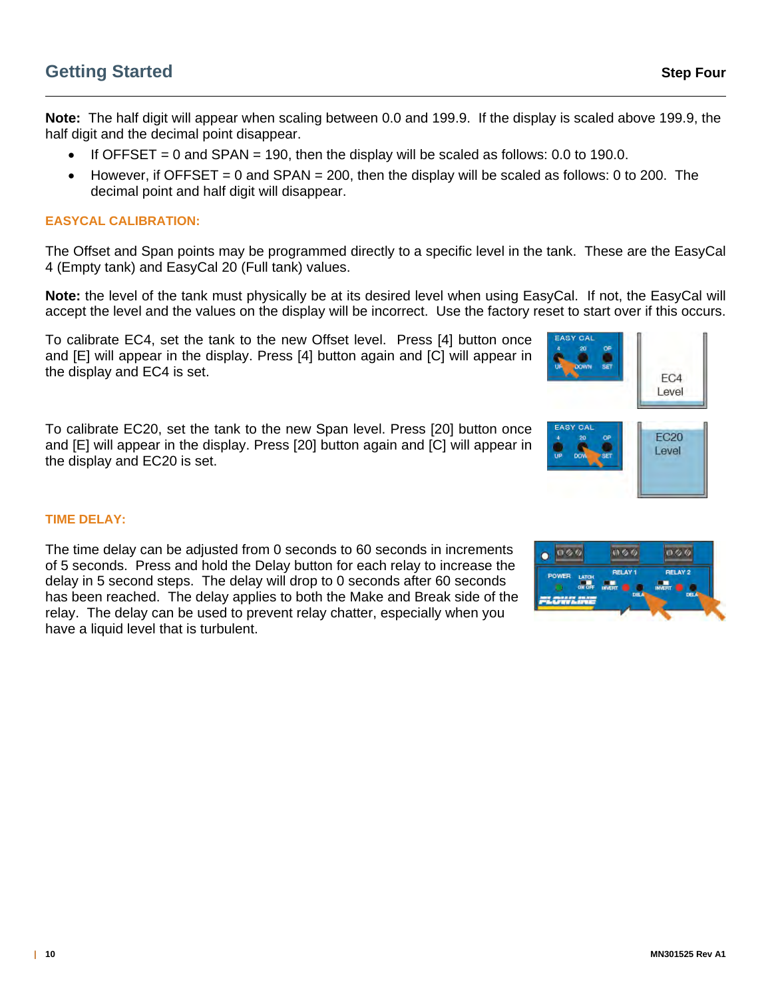**Note:** The half digit will appear when scaling between 0.0 and 199.9. If the display is scaled above 199.9, the half digit and the decimal point disappear.

- If OFFSET = 0 and SPAN = 190, then the display will be scaled as follows: 0.0 to 190.0.
- However, if OFFSET = 0 and SPAN = 200, then the display will be scaled as follows: 0 to 200. The decimal point and half digit will disappear.

#### **EASYCAL CALIBRATION:**

The Offset and Span points may be programmed directly to a specific level in the tank. These are the EasyCal 4 (Empty tank) and EasyCal 20 (Full tank) values.

**Note:** the level of the tank must physically be at its desired level when using EasyCal. If not, the EasyCal will accept the level and the values on the display will be incorrect.Use the factory reset to start over if this occurs.

To calibrate EC4, set the tank to the new Offset level. Press [4] button once and [E] will appear in the display. Press [4] button again and [C] will appear in the display and EC4 is set.

To calibrate EC20, set the tank to the new Span level. Press [20] button once and [E] will appear in the display. Press [20] button again and [C] will appear in the display and EC20 is set.





#### **TIME DELAY:**

The time delay can be adjusted from 0 seconds to 60 seconds in increments of 5 seconds. Press and hold the Delay button for each relay to increase the delay in 5 second steps. The delay will drop to 0 seconds after 60 seconds has been reached. The delay applies to both the Make and Break side of the relay. The delay can be used to prevent relay chatter, especially when you have a liquid level that is turbulent.

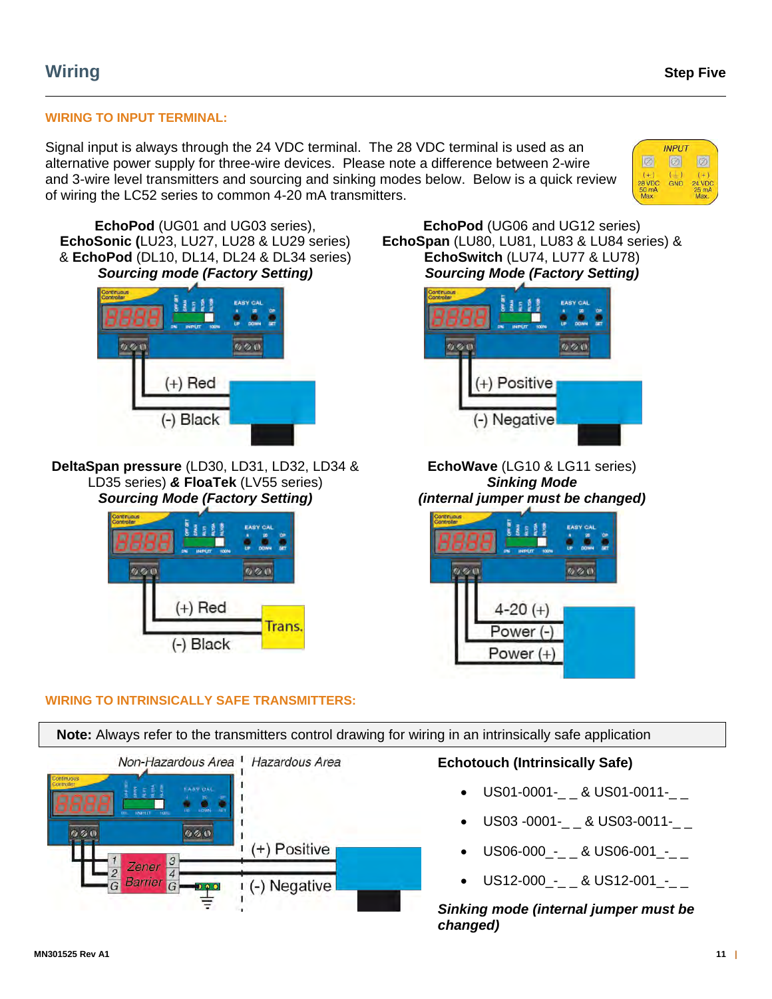# **WIRING TO INPUT TERMINAL:**

Signal input is always through the 24 VDC terminal. The 28 VDC terminal is used as an alternative power supply for three-wire devices. Please note a difference between 2-wire and 3-wire level transmitters and sourcing and sinking modes below. Below is a quick review of wiring the LC52 series to common 4-20 mA transmitters.



**EchoPod** (UG01 and UG03 series), **EchoSonic (**LU23, LU27, LU28 & LU29 series) & **EchoPod** (DL10, DL14, DL24 & DL34 series) *Sourcing mode (Factory Setting)*



**DeltaSpan pressure** (LD30, LD31, LD32, LD34 & LD35 series) *&* **FloaTek** (LV55 series) *Sourcing Mode (Factory Setting)*



**WIRING TO INTRINSICALLY SAFE TRANSMITTERS:** 

**EchoPod** (UG06 and UG12 series) **EchoSpan** (LU80, LU81, LU83 & LU84 series) & **EchoSwitch** (LU74, LU77 & LU78) *Sourcing Mode (Factory Setting)*



**EchoWave** (LG10 & LG11 series) *Sinking Mode (internal jumper must be changed)*



 **Note:** Always refer to the transmitters control drawing for wiring in an intrinsically safe application Non-Hazardous Area <sup>1</sup> Hazardous Area **Echotouch (Intrinsically Safe)**  US01-0001- & US01-0011-US03 -0001-\_ \_ & US03-0011-\_ \_  $2.60$  $0.60$  $(+)$  Positive US06-000\_-\_ \_ & US06-001\_-\_ \_ Zener  $\overline{A}$  US12-000\_-\_ \_ & US12-001\_-\_ \_ Barrier (-) Negative G o o c

> *Sinking mode (internal jumper must be changed)*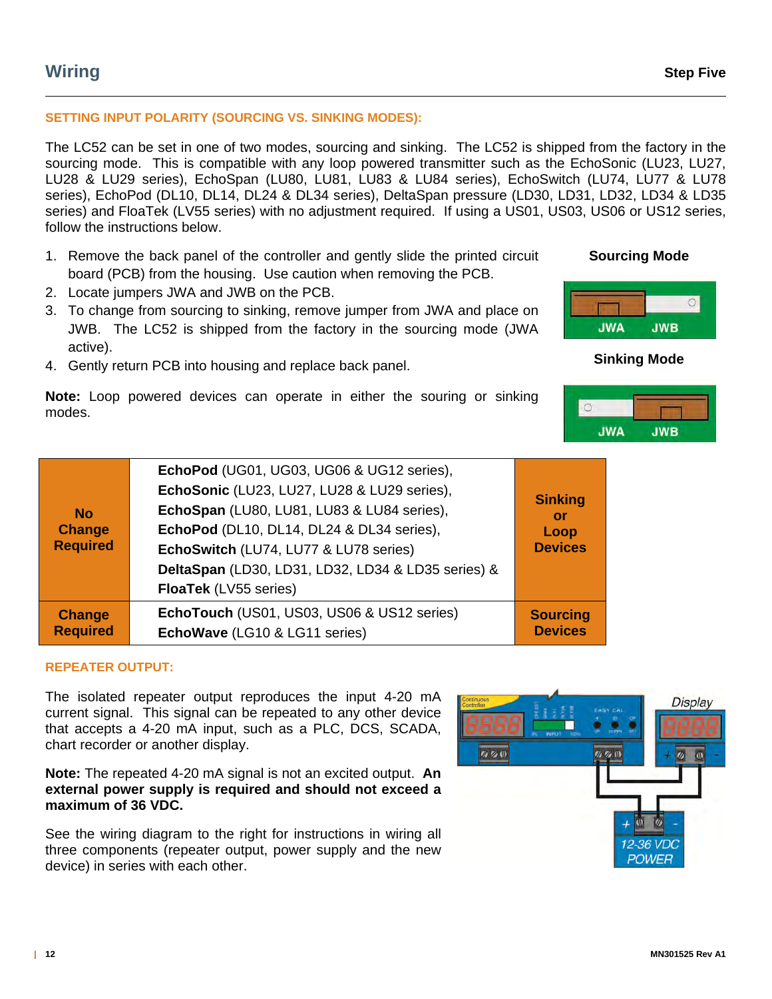# **Wiring Step Five**

#### **SETTING INPUT POLARITY (SOURCING VS. SINKING MODES):**

The LC52 can be set in one of two modes, sourcing and sinking. The LC52 is shipped from the factory in the sourcing mode. This is compatible with any loop powered transmitter such as the EchoSonic (LU23, LU27, LU28 & LU29 series), EchoSpan (LU80, LU81, LU83 & LU84 series), EchoSwitch (LU74, LU77 & LU78 series), EchoPod (DL10, DL14, DL24 & DL34 series), DeltaSpan pressure (LD30, LD31, LD32, LD34 & LD35 series) and FloaTek (LV55 series) with no adjustment required. If using a US01, US03, US06 or US12 series, follow the instructions below.

- 1. Remove the back panel of the controller and gently slide the printed circuit board (PCB) from the housing. Use caution when removing the PCB.
- 2. Locate jumpers JWA and JWB on the PCB.
- 3. To change from sourcing to sinking, remove jumper from JWA and place on JWB. The LC52 is shipped from the factory in the sourcing mode (JWA active).
- 4. Gently return PCB into housing and replace back panel.

**Note:** Loop powered devices can operate in either the souring or sinking modes.

| <b>No</b><br><b>Change</b><br><b>Required</b> | EchoPod (UG01, UG03, UG06 & UG12 series),          |                             |
|-----------------------------------------------|----------------------------------------------------|-----------------------------|
|                                               | EchoSonic (LU23, LU27, LU28 & LU29 series),        |                             |
|                                               | EchoSpan (LU80, LU81, LU83 & LU84 series),         | <b>Sinking</b><br><b>or</b> |
|                                               | EchoPod (DL10, DL14, DL24 & DL34 series),          | Loop                        |
|                                               | EchoSwitch (LU74, LU77 & LU78 series)              | <b>Devices</b>              |
|                                               | DeltaSpan (LD30, LD31, LD32, LD34 & LD35 series) & |                             |
|                                               | <b>FloaTek</b> (LV55 series)                       |                             |
| <b>Change</b>                                 | EchoTouch (US01, US03, US06 & US12 series)         | <b>Sourcing</b>             |
| <b>Required</b>                               | EchoWave (LG10 & LG11 series)                      | <b>Devices</b>              |

#### **REPEATER OUTPUT:**

The isolated repeater output reproduces the input 4-20 mA current signal. This signal can be repeated to any other device that accepts a 4-20 mA input, such as a PLC, DCS, SCADA, chart recorder or another display.

**Note:** The repeated 4-20 mA signal is not an excited output. **An external power supply is required and should not exceed a maximum of 36 VDC.**

See the wiring diagram to the right for instructions in wiring all three components (repeater output, power supply and the new device) in series with each other.





**Sinking Mode** 

# **Sourcing Mode**



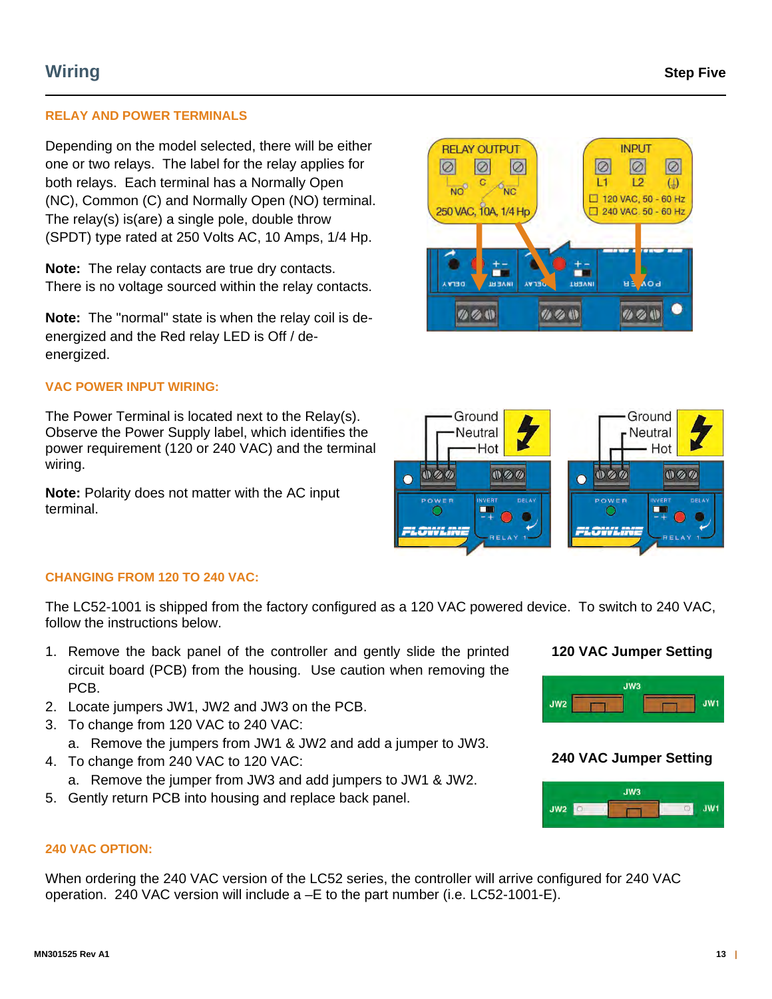## **RELAY AND POWER TERMINALS**

Depending on the model selected, there will be either one or two relays. The label for the relay applies for both relays. Each terminal has a Normally Open (NC), Common (C) and Normally Open (NO) terminal. The relay(s) is(are) a single pole, double throw (SPDT) type rated at 250 Volts AC, 10 Amps, 1/4 Hp.

**Note:** The relay contacts are true dry contacts. There is no voltage sourced within the relay contacts.

**Note:** The "normal" state is when the relay coil is deenergized and the Red relay LED is Off / deenergized.

#### **VAC POWER INPUT WIRING:**

The Power Terminal is located next to the Relay(s). Observe the Power Supply label, which identifies the power requirement (120 or 240 VAC) and the terminal wiring.

**Note:** Polarity does not matter with the AC input terminal.





#### **CHANGING FROM 120 TO 240 VAC:**

The LC52-1001 is shipped from the factory configured as a 120 VAC powered device. To switch to 240 VAC, follow the instructions below.

- 1. Remove the back panel of the controller and gently slide the printed circuit board (PCB) from the housing. Use caution when removing the PCB.
- 2. Locate jumpers JW1, JW2 and JW3 on the PCB.
- 3. To change from 120 VAC to 240 VAC:
	- a. Remove the jumpers from JW1 & JW2 and add a jumper to JW3.
- 4. To change from 240 VAC to 120 VAC:
	- a. Remove the jumper from JW3 and add jumpers to JW1 & JW2.
- 5. Gently return PCB into housing and replace back panel.

# **120 VAC Jumper Setting**



# **240 VAC Jumper Setting**



#### **240 VAC OPTION:**

When ordering the 240 VAC version of the LC52 series, the controller will arrive configured for 240 VAC operation. 240 VAC version will include a –E to the part number (i.e. LC52-1001-E).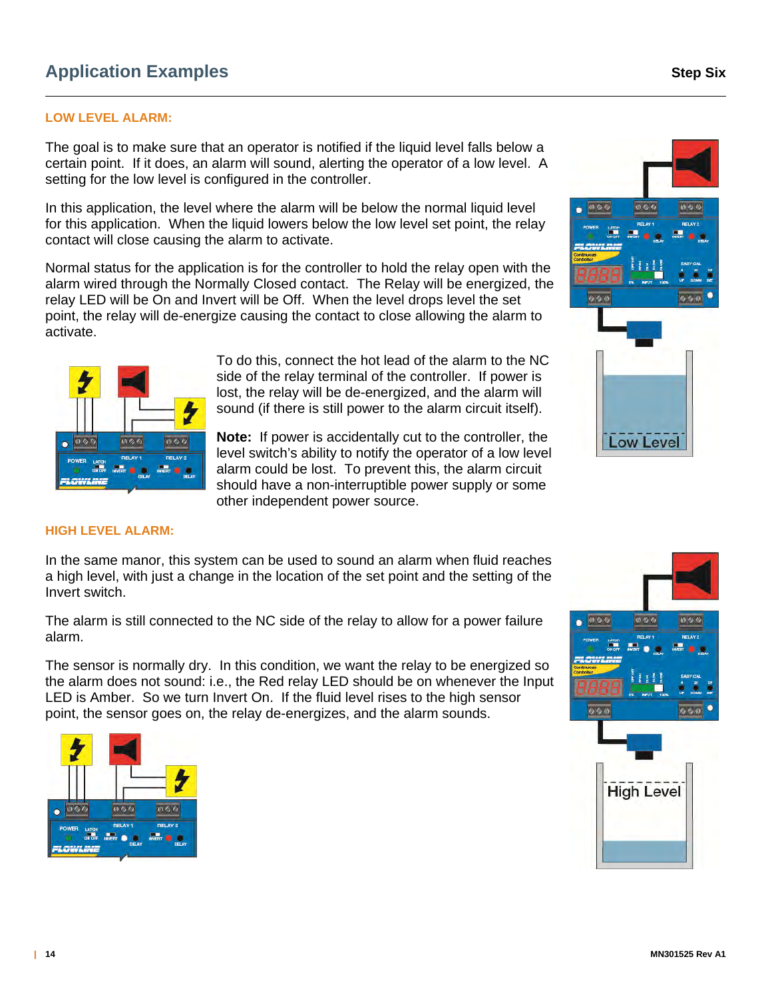### **LOW LEVEL ALARM:**

The goal is to make sure that an operator is notified if the liquid level falls below a certain point. If it does, an alarm will sound, alerting the operator of a low level. A setting for the low level is configured in the controller.

In this application, the level where the alarm will be below the normal liquid level for this application. When the liquid lowers below the low level set point, the relay contact will close causing the alarm to activate.

Normal status for the application is for the controller to hold the relay open with the alarm wired through the Normally Closed contact. The Relay will be energized, the relay LED will be On and Invert will be Off. When the level drops level the set point, the relay will de-energize causing the contact to close allowing the alarm to activate.



To do this, connect the hot lead of the alarm to the NC side of the relay terminal of the controller. If power is lost, the relay will be de-energized, and the alarm will sound (if there is still power to the alarm circuit itself).

**Note:** If power is accidentally cut to the controller, the level switch's ability to notify the operator of a low level alarm could be lost. To prevent this, the alarm circuit should have a non-interruptible power supply or some other independent power source.



#### **HIGH LEVEL ALARM:**

In the same manor, this system can be used to sound an alarm when fluid reaches a high level, with just a change in the location of the set point and the setting of the Invert switch.

The alarm is still connected to the NC side of the relay to allow for a power failure alarm.

The sensor is normally dry. In this condition, we want the relay to be energized so the alarm does not sound: i.e., the Red relay LED should be on whenever the Input LED is Amber. So we turn Invert On. If the fluid level rises to the high sensor point, the sensor goes on, the relay de-energizes, and the alarm sounds.



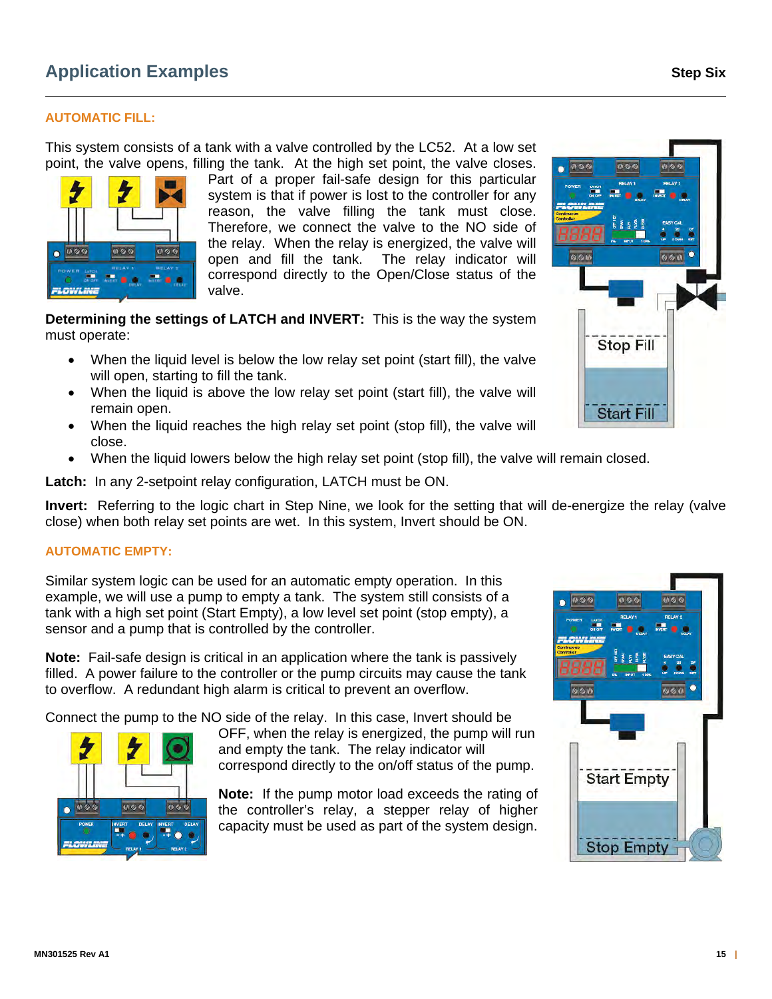### **AUTOMATIC FILL:**

000

 $000$ 

000

This system consists of a tank with a valve controlled by the LC52. At a low set point, the valve opens, filling the tank. At the high set point, the valve closes.

> Part of a proper fail-safe design for this particular system is that if power is lost to the controller for any reason, the valve filling the tank must close. Therefore, we connect the valve to the NO side of the relay. When the relay is energized, the valve will open and fill the tank. The relay indicator will correspond directly to the Open/Close status of the valve.

**Determining the settings of LATCH and INVERT:** This is the way the system must operate:

- When the liquid level is below the low relay set point (start fill), the valve will open, starting to fill the tank.
- When the liquid is above the low relay set point (start fill), the valve will remain open.
- When the liquid reaches the high relay set point (stop fill), the valve will close.
- When the liquid lowers below the high relay set point (stop fill), the valve will remain closed.

**Latch:** In any 2-setpoint relay configuration, LATCH must be ON.

**Invert:** Referring to the logic chart in Step Nine, we look for the setting that will de-energize the relay (valve close) when both relay set points are wet. In this system, Invert should be ON.

#### **AUTOMATIC EMPTY:**

000

电多度

Similar system logic can be used for an automatic empty operation. In this example, we will use a pump to empty a tank. The system still consists of a tank with a high set point (Start Empty), a low level set point (stop empty), a sensor and a pump that is controlled by the controller.

**Note:** Fail-safe design is critical in an application where the tank is passively filled. A power failure to the controller or the pump circuits may cause the tank to overflow. A redundant high alarm is critical to prevent an overflow.

Connect the pump to the NO side of the relay. In this case, Invert should be

OFF, when the relay is energized, the pump will run and empty the tank. The relay indicator will correspond directly to the on/off status of the pump.

**Note:** If the pump motor load exceeds the rating of the controller's relay, a stepper relay of higher capacity must be used as part of the system design.





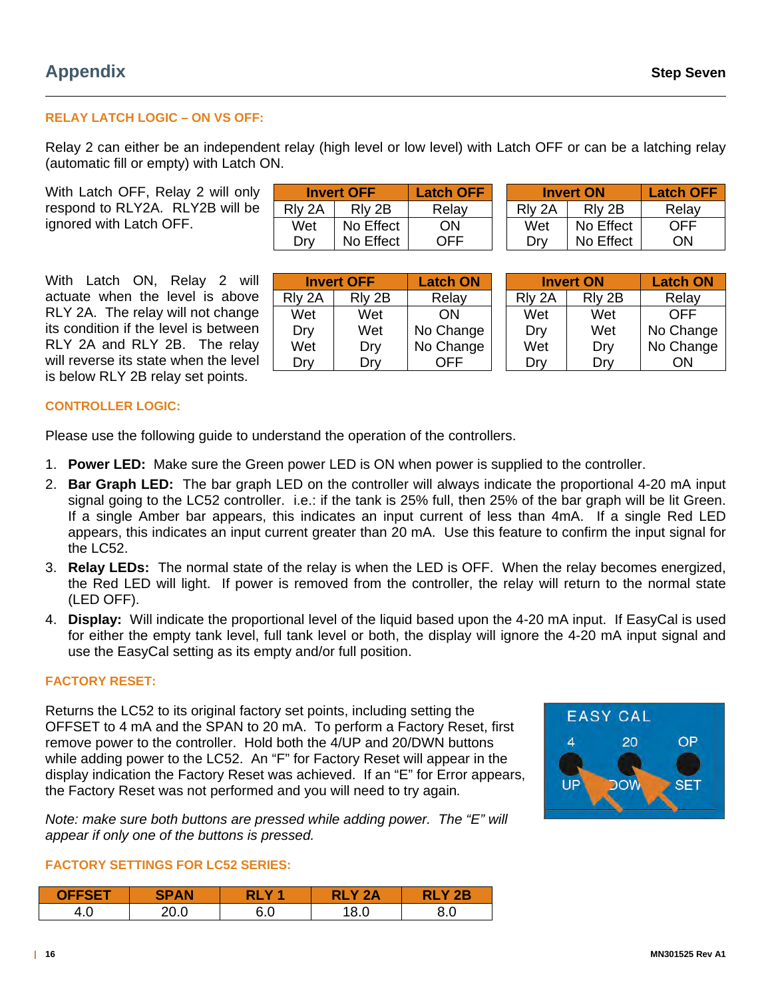# **RELAY LATCH LOGIC – ON VS OFF:**

Relay 2 can either be an independent relay (high level or low level) with Latch OFF or can be a latching relay (automatic fill or empty) with Latch ON.

With Latch OFF, Relay 2 will only respond to RLY2A. RLY2B will be ignored with Latch OFF.

| <b>Invert OFF</b> |           | <b>Latch OFF</b> | <b>Invert ON</b> |           | <b>Latch OFF</b> |
|-------------------|-----------|------------------|------------------|-----------|------------------|
| RIy 2A            | RIv 2B    | Relay            | RIv 2A           | RIv 2B    | Relay            |
| Wet               | No Effect | ON               | Wet              | No Effect | OFF              |
| Drv               | No Effect | OFF              | Drv              | No Effect | ΟN               |

With Latch ON, Relay 2 will actuate when the level is above RLY 2A. The relay will not change its condition if the level is between RLY 2A and RLY 2B. The relay will reverse its state when the level is below RLY 2B relay set points.

|        | <b>Invert OFF</b> | <b>Latch ON</b> | <b>Invert ON</b>   |        | <b>Latch ON</b> |
|--------|-------------------|-----------------|--------------------|--------|-----------------|
| Rly 2A | Rly 2B            | Relay           | RI <sub>v</sub> 2A | Rly 2B | Relay           |
| Wet    | Wet               | ON              | Wet                | Wet    | OFF             |
| Dry    | Wet               | No Change       | Dry                | Wet    | No Change       |
| Wet    | Dry               | No Change       | Wet                | Dry    | No Change       |
| Drv    | Drv               |                 | Drv                | Drv    | ОN              |

#### **CONTROLLER LOGIC:**

Please use the following guide to understand the operation of the controllers.

- 1. **Power LED:** Make sure the Green power LED is ON when power is supplied to the controller.
- 2. **Bar Graph LED:** The bar graph LED on the controller will always indicate the proportional 4-20 mA input signal going to the LC52 controller. i.e.: if the tank is 25% full, then 25% of the bar graph will be lit Green. If a single Amber bar appears, this indicates an input current of less than 4mA. If a single Red LED appears, this indicates an input current greater than 20 mA. Use this feature to confirm the input signal for the LC52.
- 3. **Relay LEDs:** The normal state of the relay is when the LED is OFF. When the relay becomes energized, the Red LED will light. If power is removed from the controller, the relay will return to the normal state (LED OFF).
- 4. **Display:** Will indicate the proportional level of the liquid based upon the 4-20 mA input. If EasyCal is used for either the empty tank level, full tank level or both, the display will ignore the 4-20 mA input signal and use the EasyCal setting as its empty and/or full position.

#### **FACTORY RESET:**

Returns the LC52 to its original factory set points, including setting the OFFSET to 4 mA and the SPAN to 20 mA. To perform a Factory Reset, first remove power to the controller. Hold both the 4/UP and 20/DWN buttons while adding power to the LC52. An "F" for Factory Reset will appear in the display indication the Factory Reset was achieved. If an "E" for Error appears, the Factory Reset was not performed and you will need to try again*.* 



*Note: make sure both buttons are pressed while adding power. The "E" will appear if only one of the buttons is pressed.*

#### **FACTORY SETTINGS FOR LC52 SERIES:**

| <b>OFFSET</b> | <b>SPAN</b> | v        | つハ          | $\mathbf{P}$ |
|---------------|-------------|----------|-------------|--------------|
| 1. U          |             | ົ<br>∪.∪ | ہ ہ.<br>v.v | o.u          |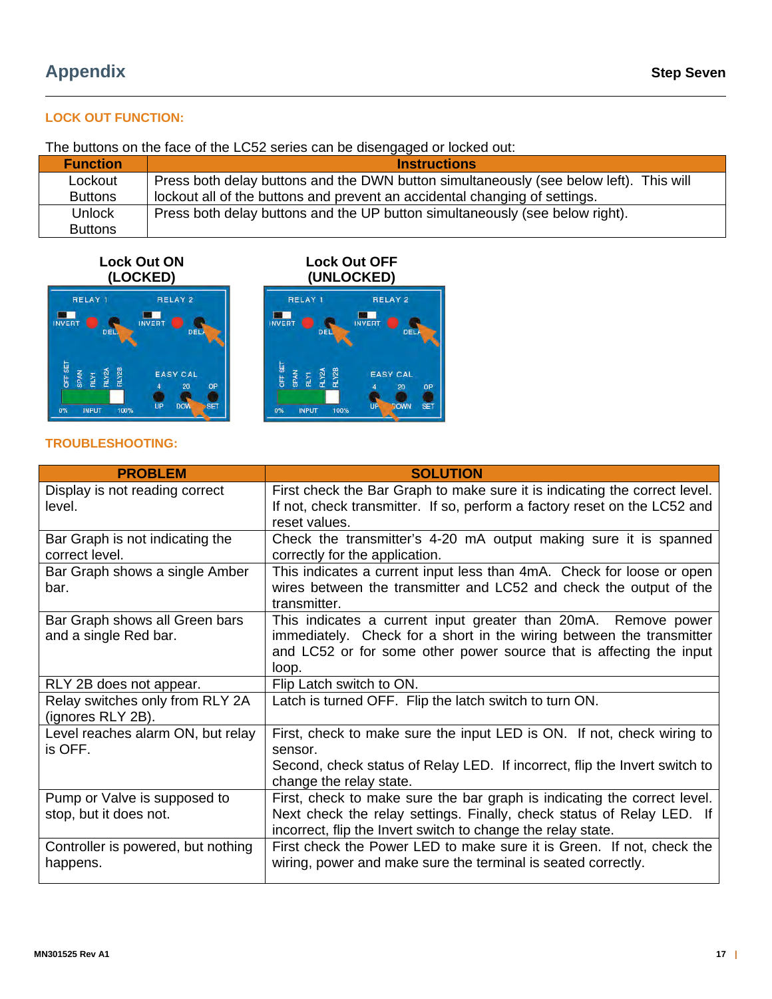# **LOCK OUT FUNCTION:**

The buttons on the face of the LC52 series can be disengaged or locked out:

| <b>Function</b> | <b>Instructions</b>                                                                    |
|-----------------|----------------------------------------------------------------------------------------|
| Lockout         | Press both delay buttons and the DWN button simultaneously (see below left). This will |
| <b>Buttons</b>  | lockout all of the buttons and prevent an accidental changing of settings.             |
| <b>Unlock</b>   | Press both delay buttons and the UP button simultaneously (see below right).           |
| <b>Buttons</b>  |                                                                                        |

# **Lock Out ON (LOCKED)**







## **TROUBLESHOOTING:**

| <b>PROBLEM</b>                     | <b>SOLUTION</b>                                                            |
|------------------------------------|----------------------------------------------------------------------------|
| Display is not reading correct     | First check the Bar Graph to make sure it is indicating the correct level. |
| level.                             | If not, check transmitter. If so, perform a factory reset on the LC52 and  |
|                                    | reset values.                                                              |
| Bar Graph is not indicating the    | Check the transmitter's 4-20 mA output making sure it is spanned           |
| correct level.                     | correctly for the application.                                             |
| Bar Graph shows a single Amber     | This indicates a current input less than 4mA. Check for loose or open      |
| bar.                               | wires between the transmitter and LC52 and check the output of the         |
|                                    | transmitter.                                                               |
| Bar Graph shows all Green bars     | This indicates a current input greater than 20mA. Remove power             |
| and a single Red bar.              | immediately. Check for a short in the wiring between the transmitter       |
|                                    | and LC52 or for some other power source that is affecting the input        |
|                                    | loop.                                                                      |
| RLY 2B does not appear.            | Flip Latch switch to ON.                                                   |
| Relay switches only from RLY 2A    | Latch is turned OFF. Flip the latch switch to turn ON.                     |
| (ignores RLY 2B).                  |                                                                            |
| Level reaches alarm ON, but relay  | First, check to make sure the input LED is ON. If not, check wiring to     |
| is OFF.                            | sensor.                                                                    |
|                                    | Second, check status of Relay LED. If incorrect, flip the Invert switch to |
|                                    | change the relay state.                                                    |
| Pump or Valve is supposed to       | First, check to make sure the bar graph is indicating the correct level.   |
| stop, but it does not.             | Next check the relay settings. Finally, check status of Relay LED. If      |
|                                    | incorrect, flip the Invert switch to change the relay state.               |
| Controller is powered, but nothing | First check the Power LED to make sure it is Green. If not, check the      |
| happens.                           | wiring, power and make sure the terminal is seated correctly.              |
|                                    |                                                                            |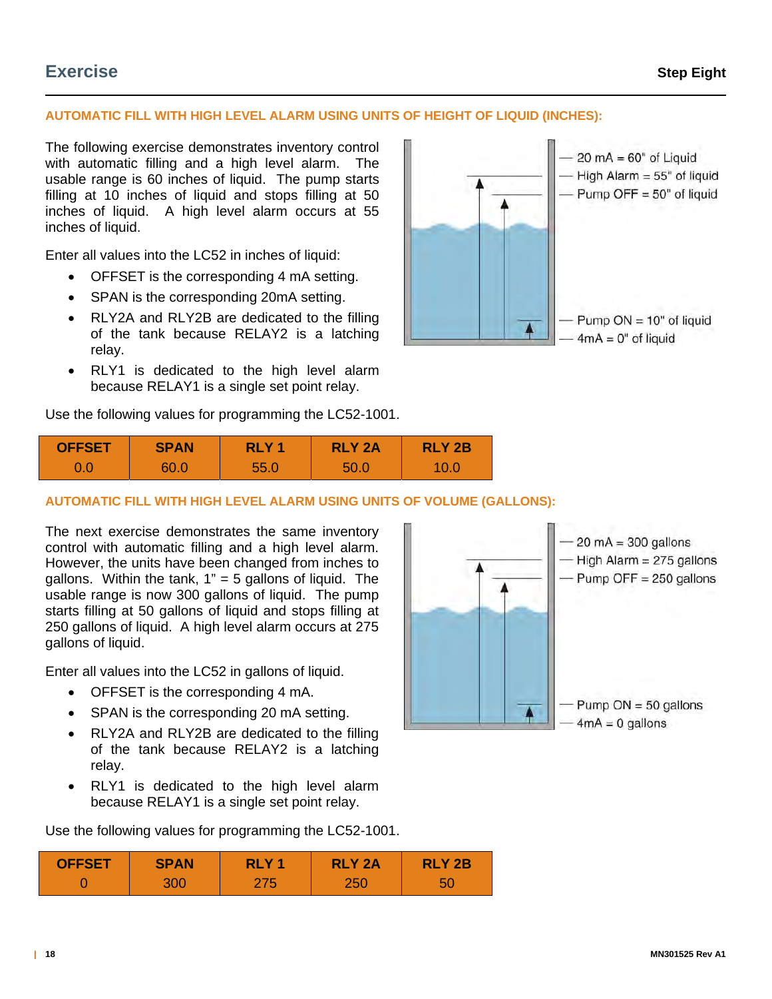# **Exercise Step Eight**

# **AUTOMATIC FILL WITH HIGH LEVEL ALARM USING UNITS OF HEIGHT OF LIQUID (INCHES):**

The following exercise demonstrates inventory control with automatic filling and a high level alarm. The usable range is 60 inches of liquid. The pump starts filling at 10 inches of liquid and stops filling at 50 inches of liquid. A high level alarm occurs at 55 inches of liquid.

Enter all values into the LC52 in inches of liquid:

- OFFSET is the corresponding 4 mA setting.
- SPAN is the corresponding 20mA setting.
- RLY2A and RLY2B are dedicated to the filling of the tank because RELAY2 is a latching relay.
- RLY1 is dedicated to the high level alarm because RELAY1 is a single set point relay.

Use the following values for programming the LC52-1001.



| <b>OFFSET</b> | <b>SPAN</b> | RLY <sub>1</sub> | <b>RLY 2A</b> | <b>RLY 2B</b> |  |
|---------------|-------------|------------------|---------------|---------------|--|
|               | 60.0        | 55.0             | 50.C          | 10.0          |  |

### **AUTOMATIC FILL WITH HIGH LEVEL ALARM USING UNITS OF VOLUME (GALLONS):**

The next exercise demonstrates the same inventory control with automatic filling and a high level alarm. However, the units have been changed from inches to gallons. Within the tank,  $1" = 5$  gallons of liquid. The usable range is now 300 gallons of liquid. The pump starts filling at 50 gallons of liquid and stops filling at 250 gallons of liquid. A high level alarm occurs at 275 gallons of liquid.

Enter all values into the LC52 in gallons of liquid.

- OFFSET is the corresponding 4 mA.
- SPAN is the corresponding 20 mA setting.
- RLY2A and RLY2B are dedicated to the filling of the tank because RELAY2 is a latching relay.
- RLY1 is dedicated to the high level alarm because RELAY1 is a single set point relay.

Use the following values for programming the LC52-1001.



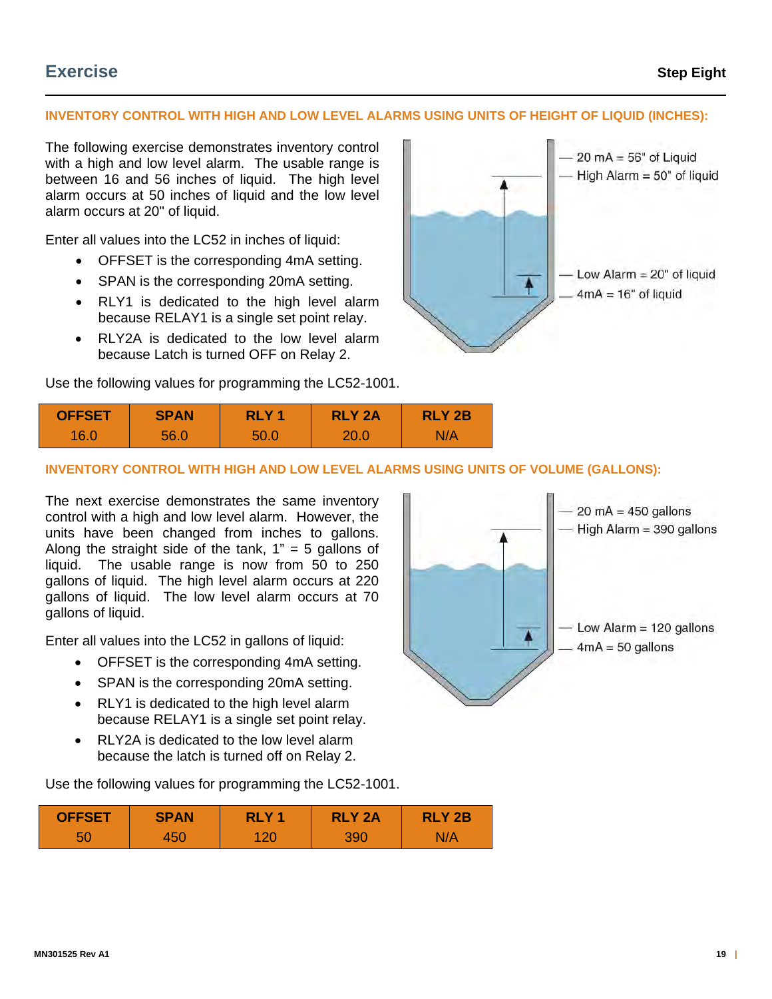# **INVENTORY CONTROL WITH HIGH AND LOW LEVEL ALARMS USING UNITS OF HEIGHT OF LIQUID (INCHES):**

The following exercise demonstrates inventory control with a high and low level alarm. The usable range is between 16 and 56 inches of liquid. The high level alarm occurs at 50 inches of liquid and the low level alarm occurs at 20" of liquid.

Enter all values into the LC52 in inches of liquid:

- OFFSET is the corresponding 4mA setting.
- SPAN is the corresponding 20mA setting.
- RLY1 is dedicated to the high level alarm because RELAY1 is a single set point relay.
- RLY2A is dedicated to the low level alarm because Latch is turned OFF on Relay 2.

Use the following values for programming the LC52-1001.





#### **INVENTORY CONTROL WITH HIGH AND LOW LEVEL ALARMS USING UNITS OF VOLUME (GALLONS):**

The next exercise demonstrates the same inventory control with a high and low level alarm. However, the units have been changed from inches to gallons. Along the straight side of the tank,  $1" = 5$  gallons of liquid. The usable range is now from 50 to 250 gallons of liquid. The high level alarm occurs at 220 gallons of liquid. The low level alarm occurs at 70 gallons of liquid.

Enter all values into the LC52 in gallons of liquid:

- OFFSET is the corresponding 4mA setting.
- SPAN is the corresponding 20mA setting.
- RLY1 is dedicated to the high level alarm because RELAY1 is a single set point relay.
- RLY2A is dedicated to the low level alarm because the latch is turned off on Relay 2.

Use the following values for programming the LC52-1001.